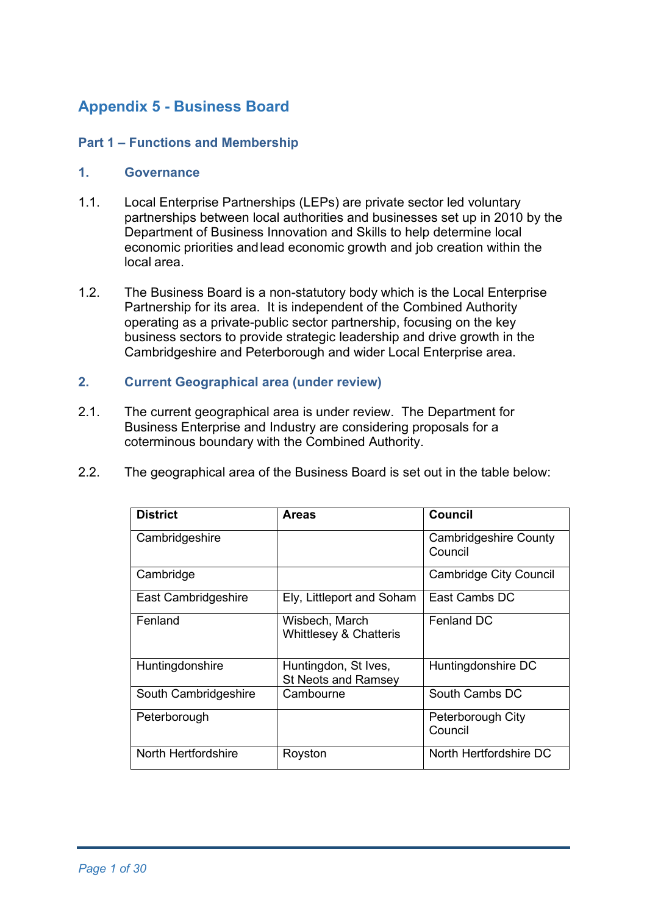# **Appendix 5 - Business Board**

# **Part 1 – Functions and Membership**

#### **1. Governance**

- 1.1. Local Enterprise Partnerships (LEPs) are private sector led voluntary partnerships between local authorities and businesses set up in 2010 by the Department of Business Innovation and Skills to help determine local economic priorities andlead economic growth and job creation within the local area.
- 1.2. The Business Board is a non-statutory body which is the Local Enterprise Partnership for its area. It is independent of the Combined Authority operating as a private-public sector partnership, focusing on the key business sectors to provide strategic leadership and drive growth in the Cambridgeshire and Peterborough and wider Local Enterprise area.

#### **2. Current Geographical area (under review)**

- 2.1. The current geographical area is under review. The Department for Business Enterprise and Industry are considering proposals for a coterminous boundary with the Combined Authority.
- 2.2. The geographical area of the Business Board is set out in the table below:

| <b>District</b>      | <b>Areas</b>                                        | Council                                 |
|----------------------|-----------------------------------------------------|-----------------------------------------|
| Cambridgeshire       |                                                     | <b>Cambridgeshire County</b><br>Council |
| Cambridge            |                                                     | Cambridge City Council                  |
| East Cambridgeshire  | Ely, Littleport and Soham                           | East Cambs DC                           |
| Fenland              | Wisbech, March<br><b>Whittlesey &amp; Chatteris</b> | Fenland DC                              |
| Huntingdonshire      | Huntingdon, St Ives,<br><b>St Neots and Ramsey</b>  | Huntingdonshire DC                      |
| South Cambridgeshire | Cambourne                                           | South Cambs DC                          |
| Peterborough         |                                                     | Peterborough City<br>Council            |
| North Hertfordshire  | Royston                                             | North Hertfordshire DC                  |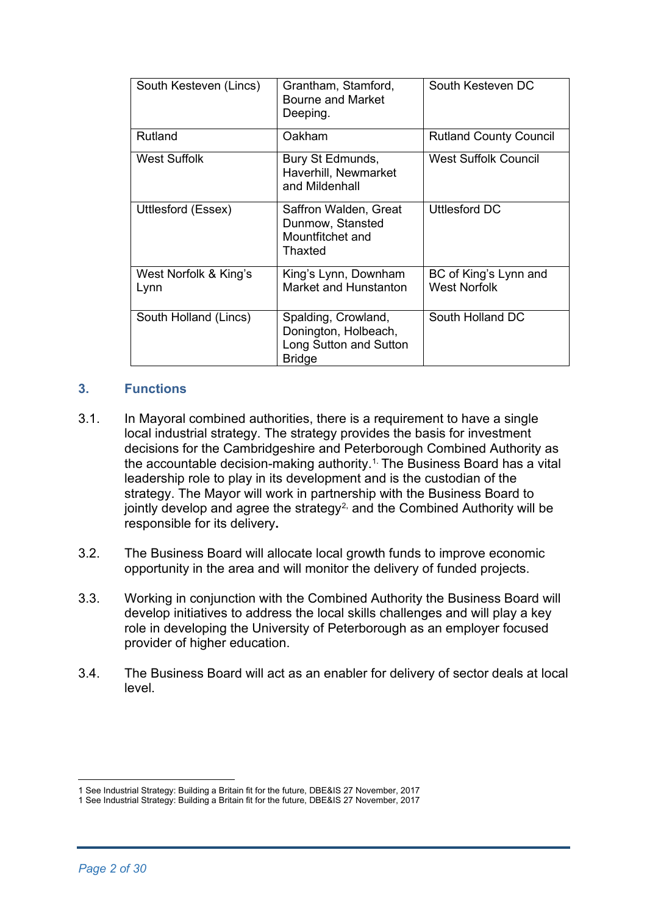| South Kesteven (Lincs)        | Grantham, Stamford,<br><b>Bourne and Market</b><br>Deeping.                            | South Kesteven DC                            |
|-------------------------------|----------------------------------------------------------------------------------------|----------------------------------------------|
| Rutland                       | Oakham                                                                                 | <b>Rutland County Council</b>                |
| West Suffolk                  | Bury St Edmunds,<br>Haverhill, Newmarket<br>and Mildenhall                             | West Suffolk Council                         |
| Uttlesford (Essex)            | Saffron Walden, Great<br>Dunmow, Stansted<br>Mountfitchet and<br>Thaxted               | Uttlesford DC                                |
| West Norfolk & King's<br>Lynn | King's Lynn, Downham<br>Market and Hunstanton                                          | BC of King's Lynn and<br><b>West Norfolk</b> |
| South Holland (Lincs)         | Spalding, Crowland,<br>Donington, Holbeach,<br>Long Sutton and Sutton<br><b>Bridge</b> | South Holland DC                             |

### **3. Functions**

- 3.1. In Mayoral combined authorities, there is a requirement to have a single local industrial strategy. The strategy provides the basis for investment decisions for the Cambridgeshire and Peterborough Combined Authority as the accountable decision-making authority.<sup>[1](#page-1-0)</sup> The Business Board has a vital leadership role to play in its development and is the custodian of the strategy. The Mayor will work in partnership with the Business Board to jointly develop and agree the strategy<sup>[2,](#page-1-1)</sup> and the Combined Authority will be responsible for its delivery**.**
- 3.2. The Business Board will allocate local growth funds to improve economic opportunity in the area and will monitor the delivery of funded projects.
- 3.3. Working in conjunction with the Combined Authority the Business Board will develop initiatives to address the local skills challenges and will play a key role in developing the University of Peterborough as an employer focused provider of higher education.
- 3.4. The Business Board will act as an enabler for delivery of sector deals at local level.

<span id="page-1-0"></span><sup>1</sup> See Industrial Strategy: Building a Britain fit for the future, DBE&IS 27 November, 2017

<span id="page-1-1"></span><sup>1</sup> See Industrial Strategy: Building a Britain fit for the future, DBE&IS 27 November, 2017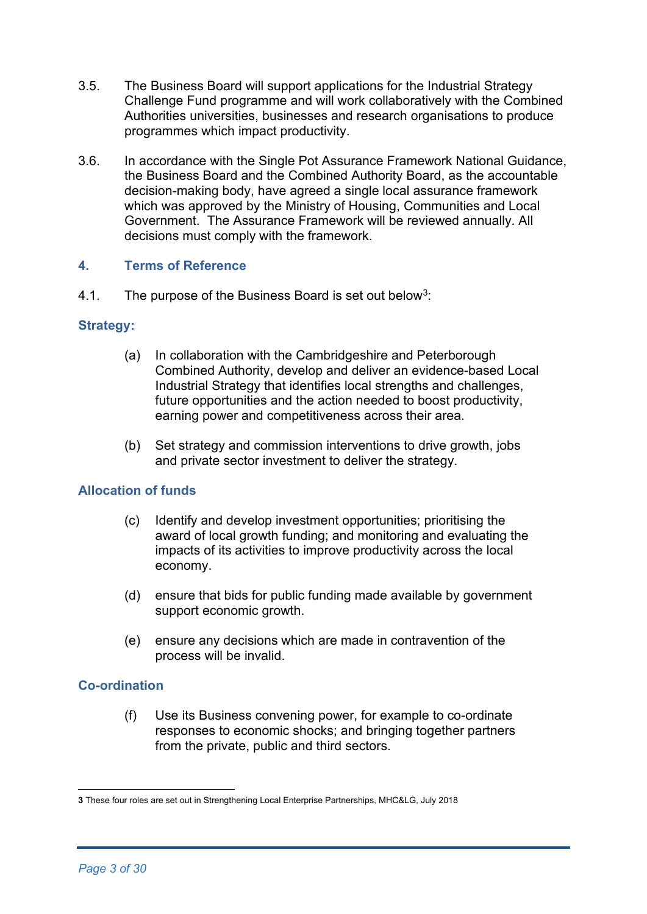- 3.5. The Business Board will support applications for the Industrial Strategy Challenge Fund programme and will work collaboratively with the Combined Authorities universities, businesses and research organisations to produce programmes which impact productivity.
- 3.6. In accordance with the Single Pot Assurance Framework National Guidance, the Business Board and the Combined Authority Board, as the accountable decision-making body, have agreed a single local assurance framework which was approved by the Ministry of Housing, Communities and Local Government. The Assurance Framework will be reviewed annually. All decisions must comply with the framework.

#### **4. Terms of Reference**

4.1. The purpose of the Business Board is set out below<sup>3</sup>:

### **Strategy:**

- (a) In collaboration with the Cambridgeshire and Peterborough Combined Authority, develop and deliver an evidence-based Local Industrial Strategy that identifies local strengths and challenges, future opportunities and the action needed to boost productivity, earning power and competitiveness across their area.
- (b) Set strategy and commission interventions to drive growth, jobs and private sector investment to deliver the strategy.

# **Allocation of funds**

- (c) Identify and develop investment opportunities; prioritising the award of local growth funding; and monitoring and evaluating the impacts of its activities to improve productivity across the local economy.
- (d) ensure that bids for public funding made available by government support economic growth.
- (e) ensure any decisions which are made in contravention of the process will be invalid.

#### **Co-ordination**

(f) Use its Business convening power, for example to co-ordinate responses to economic shocks; and bringing together partners from the private, public and third sectors.

<span id="page-2-0"></span>**<sup>3</sup>** These four roles are set out in Strengthening Local Enterprise Partnerships, MHC&LG, July 2018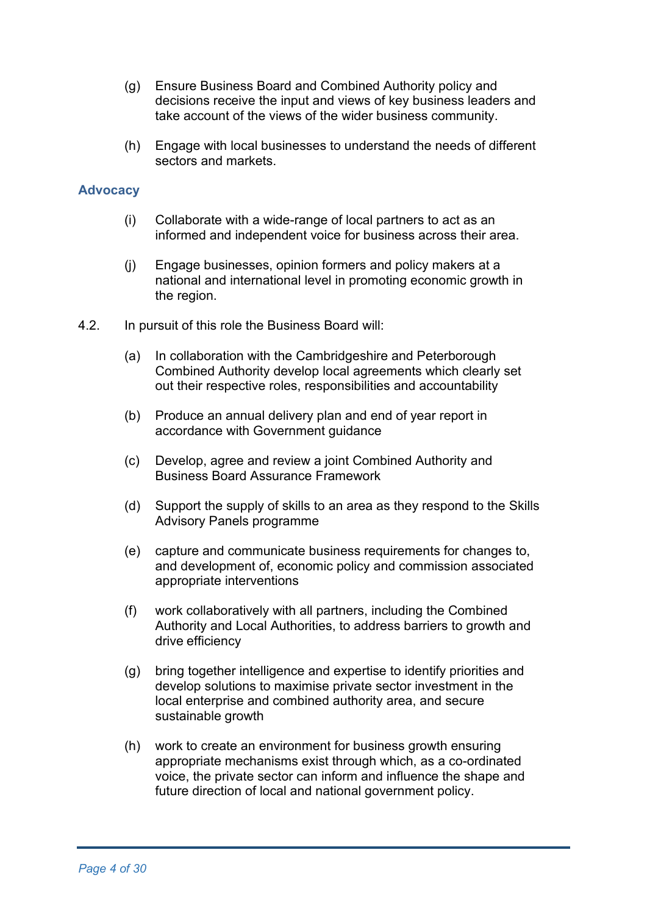- (g) Ensure Business Board and Combined Authority policy and decisions receive the input and views of key business leaders and take account of the views of the wider business community.
- (h) Engage with local businesses to understand the needs of different sectors and markets.

#### **Advocacy**

- (i) Collaborate with a wide-range of local partners to act as an informed and independent voice for business across their area.
- (j) Engage businesses, opinion formers and policy makers at a national and international level in promoting economic growth in the region.
- 4.2. In pursuit of this role the Business Board will:
	- (a) In collaboration with the Cambridgeshire and Peterborough Combined Authority develop local agreements which clearly set out their respective roles, responsibilities and accountability
	- (b) Produce an annual delivery plan and end of year report in accordance with Government guidance
	- (c) Develop, agree and review a joint Combined Authority and Business Board Assurance Framework
	- (d) Support the supply of skills to an area as they respond to the Skills Advisory Panels programme
	- (e) capture and communicate business requirements for changes to, and development of, economic policy and commission associated appropriate interventions
	- (f) work collaboratively with all partners, including the Combined Authority and Local Authorities, to address barriers to growth and drive efficiency
	- (g) bring together intelligence and expertise to identify priorities and develop solutions to maximise private sector investment in the local enterprise and combined authority area, and secure sustainable growth
	- (h) work to create an environment for business growth ensuring appropriate mechanisms exist through which, as a co-ordinated voice, the private sector can inform and influence the shape and future direction of local and national government policy.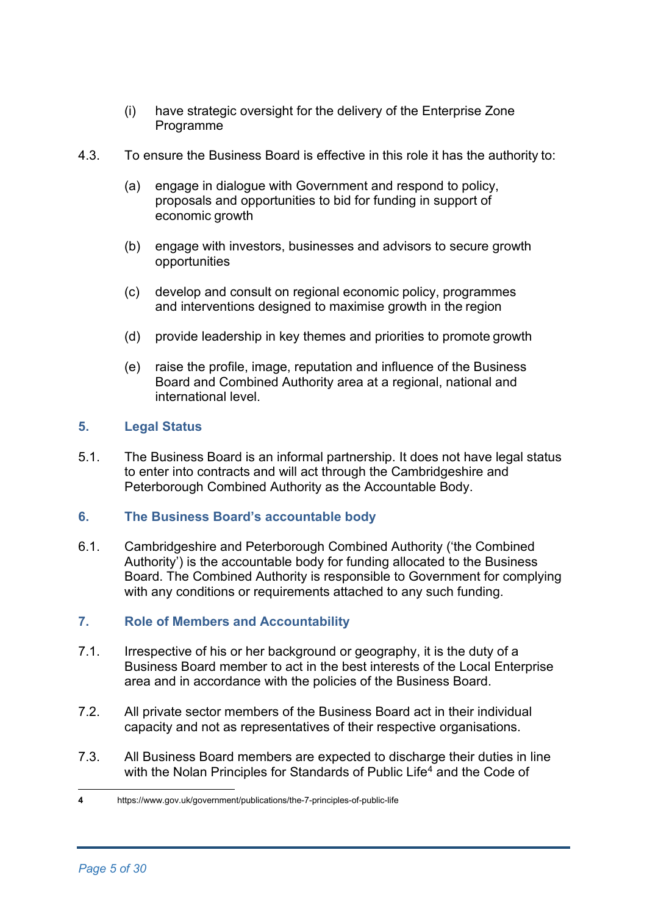- (i) have strategic oversight for the delivery of the Enterprise Zone Programme
- 4.3. To ensure the Business Board is effective in this role it has the authority to:
	- (a) engage in dialogue with Government and respond to policy, proposals and opportunities to bid for funding in support of economic growth
	- (b) engage with investors, businesses and advisors to secure growth opportunities
	- (c) develop and consult on regional economic policy, programmes and interventions designed to maximise growth in the region
	- (d) provide leadership in key themes and priorities to promote growth
	- (e) raise the profile, image, reputation and influence of the Business Board and Combined Authority area at a regional, national and international level.

### **5. Legal Status**

5.1. The Business Board is an informal partnership. It does not have legal status to enter into contracts and will act through the Cambridgeshire and Peterborough Combined Authority as the Accountable Body.

#### **6. The Business Board's accountable body**

6.1. Cambridgeshire and Peterborough Combined Authority ('the Combined Authority') is the accountable body for funding allocated to the Business Board. The Combined Authority is responsible to Government for complying with any conditions or requirements attached to any such funding.

# **7. Role of Members and Accountability**

- 7.1. Irrespective of his or her background or geography, it is the duty of a Business Board member to act in the best interests of the Local Enterprise area and in accordance with the policies of the Business Board.
- 7.2. All private sector members of the Business Board act in their individual capacity and not as representatives of their respective organisations.
- 7.3. All Business Board members are expected to discharge their duties in line with the Nolan Principles for Standards of Public Life<sup>[4](#page-4-0)</sup> and the Code of

<span id="page-4-0"></span>**<sup>4</sup>** https://www.gov.uk/government/publications/the-7-principles-of-public-life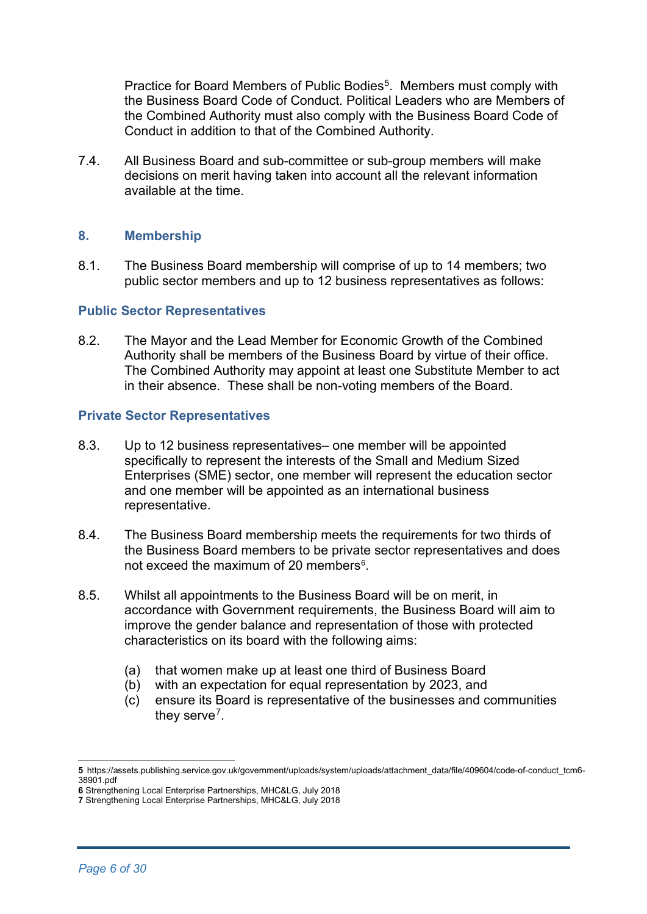Practice for Board Members of Public Bodies<sup>[5](#page-5-0)</sup>. Members must comply with the Business Board Code of Conduct. Political Leaders who are Members of the Combined Authority must also comply with the Business Board Code of Conduct in addition to that of the Combined Authority.

7.4. All Business Board and sub-committee or sub-group members will make decisions on merit having taken into account all the relevant information available at the time.

#### **8. Membership**

8.1. The Business Board membership will comprise of up to 14 members; two public sector members and up to 12 business representatives as follows:

#### **Public Sector Representatives**

8.2. The Mayor and the Lead Member for Economic Growth of the Combined Authority shall be members of the Business Board by virtue of their office. The Combined Authority may appoint at least one Substitute Member to act in their absence. These shall be non-voting members of the Board.

#### **Private Sector Representatives**

- 8.3. Up to 12 business representatives– one member will be appointed specifically to represent the interests of the Small and Medium Sized Enterprises (SME) sector, one member will represent the education sector and one member will be appointed as an international business representative.
- 8.4. The Business Board membership meets the requirements for two thirds of the Business Board members to be private sector representatives and does not exceed the maximum of 20 members $6$ .
- 8.5. Whilst all appointments to the Business Board will be on merit, in accordance with Government requirements, the Business Board will aim to improve the gender balance and representation of those with protected characteristics on its board with the following aims:
	- (a) that women make up at least one third of Business Board
	- (b) with an expectation for equal representation by 2023, and
	- (c) ensure its Board is representative of the businesses and communities they serve<sup>[7](#page-5-2)</sup>.

<span id="page-5-0"></span>**<sup>5</sup>** https://assets.publishing.service.gov.uk/government/uploads/system/uploads/attachment\_data/file/409604/code-of-conduct\_tcm6- 38901.pdf

<span id="page-5-1"></span>**<sup>6</sup>** Strengthening Local Enterprise Partnerships, MHC&LG, July 2018

<span id="page-5-2"></span>**<sup>7</sup>** Strengthening Local Enterprise Partnerships, MHC&LG, July 2018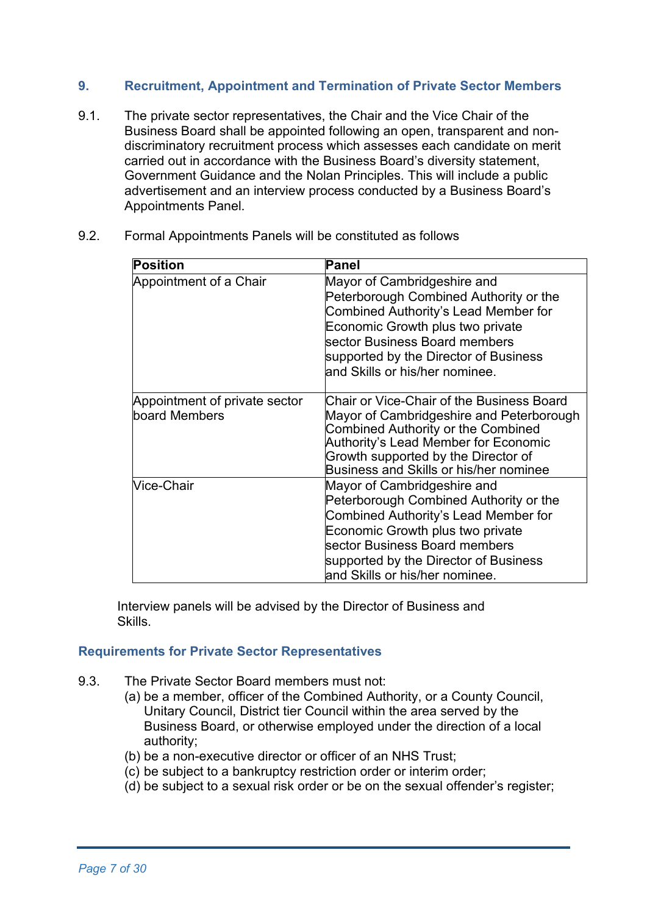### **9. Recruitment, Appointment and Termination of Private Sector Members**

- 9.1. The private sector representatives, the Chair and the Vice Chair of the Business Board shall be appointed following an open, transparent and nondiscriminatory recruitment process which assesses each candidate on merit carried out in accordance with the Business Board's diversity statement, Government Guidance and the Nolan Principles. This will include a public advertisement and an interview process conducted by a Business Board's Appointments Panel.
- 9.2. Formal Appointments Panels will be constituted as follows

| <b>Position</b>                                | Panel                                                                                                                                                                                                                                                         |
|------------------------------------------------|---------------------------------------------------------------------------------------------------------------------------------------------------------------------------------------------------------------------------------------------------------------|
| Appointment of a Chair                         | Mayor of Cambridgeshire and<br>Peterborough Combined Authority or the<br>Combined Authority's Lead Member for<br>Economic Growth plus two private<br>sector Business Board members<br>supported by the Director of Business<br>and Skills or his/her nominee. |
| Appointment of private sector<br>board Members | Chair or Vice-Chair of the Business Board<br>Mayor of Cambridgeshire and Peterborough<br><b>Combined Authority or the Combined</b><br>Authority's Lead Member for Economic<br>Growth supported by the Director of<br>Business and Skills or his/her nominee   |
| <b>Nice-Chair</b>                              | Mayor of Cambridgeshire and<br>Peterborough Combined Authority or the<br>Combined Authority's Lead Member for<br>Economic Growth plus two private<br>sector Business Board members<br>supported by the Director of Business<br>and Skills or his/her nominee. |

Interview panels will be advised by the Director of Business and Skills.

#### **Requirements for Private Sector Representatives**

- 9.3. The Private Sector Board members must not:
	- (a) be a member, officer of the Combined Authority, or a County Council, Unitary Council, District tier Council within the area served by the Business Board, or otherwise employed under the direction of a local authority;
	- (b) be a non-executive director or officer of an NHS Trust;
	- (c) be subject to a bankruptcy restriction order or interim order;
	- (d) be subject to a sexual risk order or be on the sexual offender's register;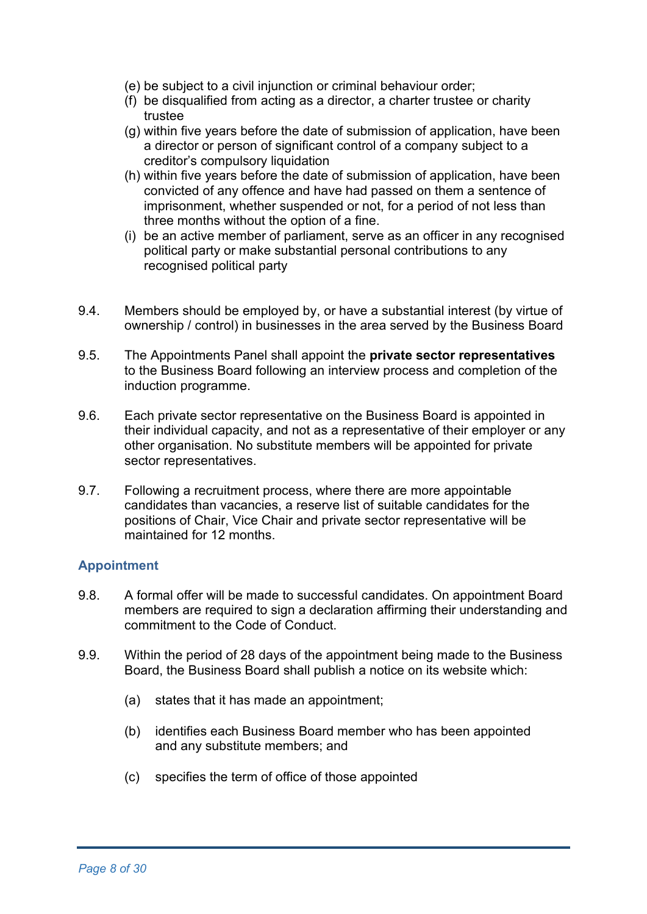- (e) be subject to a civil injunction or criminal behaviour order;
- (f) be disqualified from acting as a director, a charter trustee or charity trustee
- (g) within five years before the date of submission of application, have been a director or person of significant control of a company subject to a creditor's compulsory liquidation
- (h) within five years before the date of submission of application, have been convicted of any offence and have had passed on them a sentence of imprisonment, whether suspended or not, for a period of not less than three months without the option of a fine.
- (i) be an active member of parliament, serve as an officer in any recognised political party or make substantial personal contributions to any recognised political party
- 9.4. Members should be employed by, or have a substantial interest (by virtue of ownership / control) in businesses in the area served by the Business Board
- 9.5. The Appointments Panel shall appoint the **private sector representatives**  to the Business Board following an interview process and completion of the induction programme.
- 9.6. Each private sector representative on the Business Board is appointed in their individual capacity, and not as a representative of their employer or any other organisation. No substitute members will be appointed for private sector representatives.
- 9.7. Following a recruitment process, where there are more appointable candidates than vacancies, a reserve list of suitable candidates for the positions of Chair, Vice Chair and private sector representative will be maintained for 12 months.

#### **Appointment**

- 9.8. A formal offer will be made to successful candidates. On appointment Board members are required to sign a declaration affirming their understanding and commitment to the Code of Conduct.
- 9.9. Within the period of 28 days of the appointment being made to the Business Board, the Business Board shall publish a notice on its website which:
	- (a) states that it has made an appointment;
	- (b) identifies each Business Board member who has been appointed and any substitute members; and
	- (c) specifies the term of office of those appointed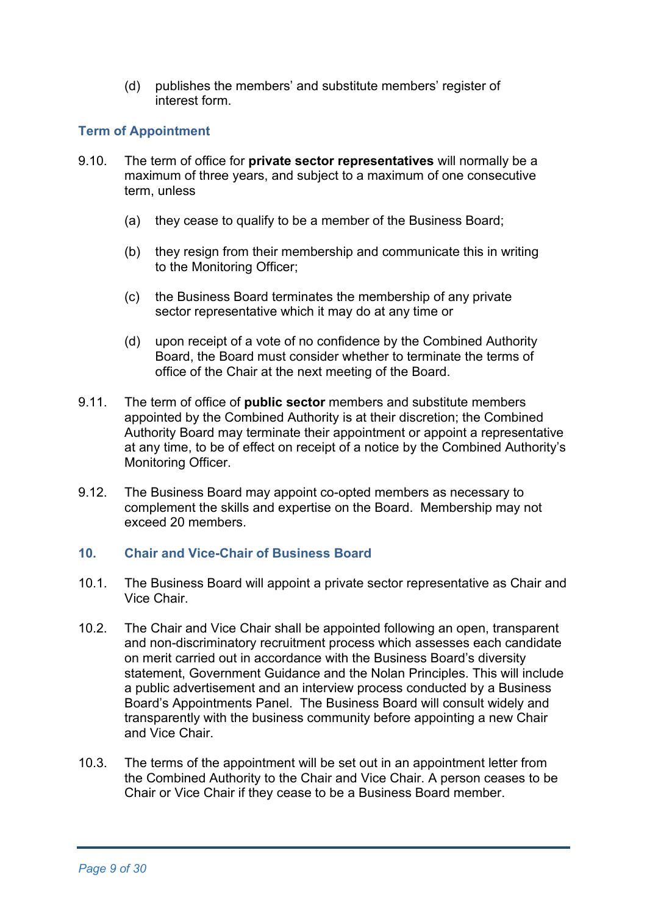(d) publishes the members' and substitute members' register of interest form.

# **Term of Appointment**

- 9.10. The term of office for **private sector representatives** will normally be a maximum of three years, and subject to a maximum of one consecutive term, unless
	- (a) they cease to qualify to be a member of the Business Board;
	- (b) they resign from their membership and communicate this in writing to the Monitoring Officer;
	- (c) the Business Board terminates the membership of any private sector representative which it may do at any time or
	- (d) upon receipt of a vote of no confidence by the Combined Authority Board, the Board must consider whether to terminate the terms of office of the Chair at the next meeting of the Board.
- 9.11. The term of office of **public sector** members and substitute members appointed by the Combined Authority is at their discretion; the Combined Authority Board may terminate their appointment or appoint a representative at any time, to be of effect on receipt of a notice by the Combined Authority's Monitoring Officer.
- 9.12. The Business Board may appoint co-opted members as necessary to complement the skills and expertise on the Board. Membership may not exceed 20 members.

#### **10. Chair and Vice-Chair of Business Board**

- 10.1. The Business Board will appoint a private sector representative as Chair and Vice Chair.
- 10.2. The Chair and Vice Chair shall be appointed following an open, transparent and non-discriminatory recruitment process which assesses each candidate on merit carried out in accordance with the Business Board's diversity statement, Government Guidance and the Nolan Principles. This will include a public advertisement and an interview process conducted by a Business Board's Appointments Panel. The Business Board will consult widely and transparently with the business community before appointing a new Chair and Vice Chair.
- 10.3. The terms of the appointment will be set out in an appointment letter from the Combined Authority to the Chair and Vice Chair. A person ceases to be Chair or Vice Chair if they cease to be a Business Board member.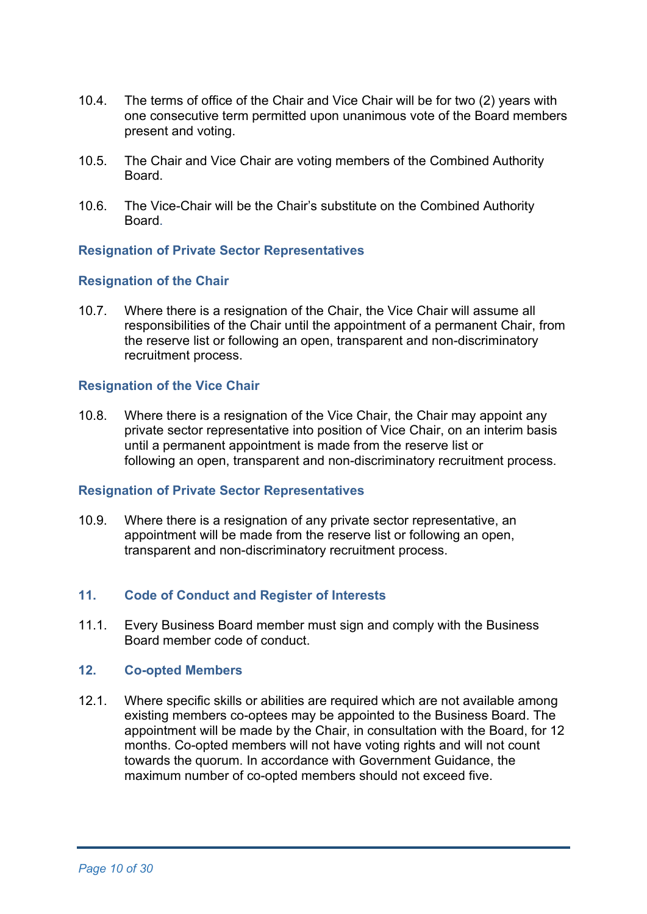- 10.4. The terms of office of the Chair and Vice Chair will be for two (2) years with one consecutive term permitted upon unanimous vote of the Board members present and voting.
- 10.5. The Chair and Vice Chair are voting members of the Combined Authority Board.
- 10.6. The Vice-Chair will be the Chair's substitute on the Combined Authority Board.

#### **Resignation of Private Sector Representatives**

#### **Resignation of the Chair**

10.7. Where there is a resignation of the Chair, the Vice Chair will assume all responsibilities of the Chair until the appointment of a permanent Chair, from the reserve list or following an open, transparent and non-discriminatory recruitment process.

#### **Resignation of the Vice Chair**

10.8. Where there is a resignation of the Vice Chair, the Chair may appoint any private sector representative into position of Vice Chair, on an interim basis until a permanent appointment is made from the reserve list or following an open, transparent and non-discriminatory recruitment process.

#### **Resignation of Private Sector Representatives**

10.9. Where there is a resignation of any private sector representative, an appointment will be made from the reserve list or following an open, transparent and non-discriminatory recruitment process.

#### **11. Code of Conduct and Register of Interests**

11.1. Every Business Board member must sign and comply with the Business Board member code of conduct.

#### **12. Co-opted Members**

12.1. Where specific skills or abilities are required which are not available among existing members co-optees may be appointed to the Business Board. The appointment will be made by the Chair, in consultation with the Board, for 12 months. Co-opted members will not have voting rights and will not count towards the quorum. In accordance with Government Guidance, the maximum number of co-opted members should not exceed five.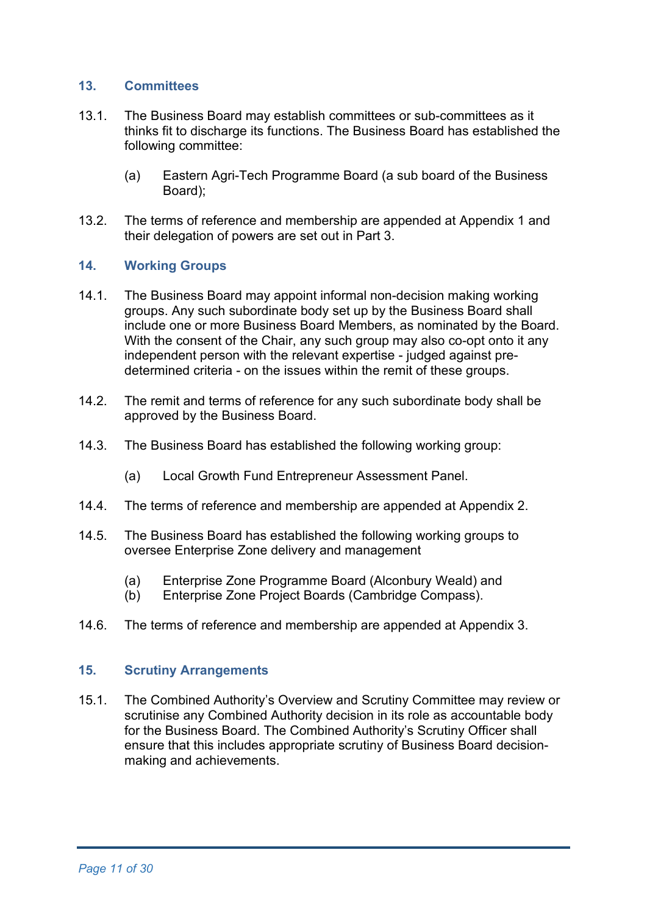#### **13. Committees**

- 13.1. The Business Board may establish committees or sub-committees as it thinks fit to discharge its functions. The Business Board has established the following committee:
	- (a) Eastern Agri-Tech Programme Board (a sub board of the Business Board);
- 13.2. The terms of reference and membership are appended at Appendix 1 and their delegation of powers are set out in Part 3.

#### **14. Working Groups**

- 14.1. The Business Board may appoint informal non-decision making working groups. Any such subordinate body set up by the Business Board shall include one or more Business Board Members, as nominated by the Board. With the consent of the Chair, any such group may also co-opt onto it any independent person with the relevant expertise - judged against predetermined criteria - on the issues within the remit of these groups.
- 14.2. The remit and terms of reference for any such subordinate body shall be approved by the Business Board.
- 14.3. The Business Board has established the following working group:
	- (a) Local Growth Fund Entrepreneur Assessment Panel.
- 14.4. The terms of reference and membership are appended at Appendix 2.
- 14.5. The Business Board has established the following working groups to oversee Enterprise Zone delivery and management
	- (a) Enterprise Zone Programme Board (Alconbury Weald) and
	- (b) Enterprise Zone Project Boards (Cambridge Compass).
- 14.6. The terms of reference and membership are appended at Appendix 3.

#### **15. Scrutiny Arrangements**

15.1. The Combined Authority's Overview and Scrutiny Committee may review or scrutinise any Combined Authority decision in its role as accountable body for the Business Board. The Combined Authority's Scrutiny Officer shall ensure that this includes appropriate scrutiny of Business Board decisionmaking and achievements.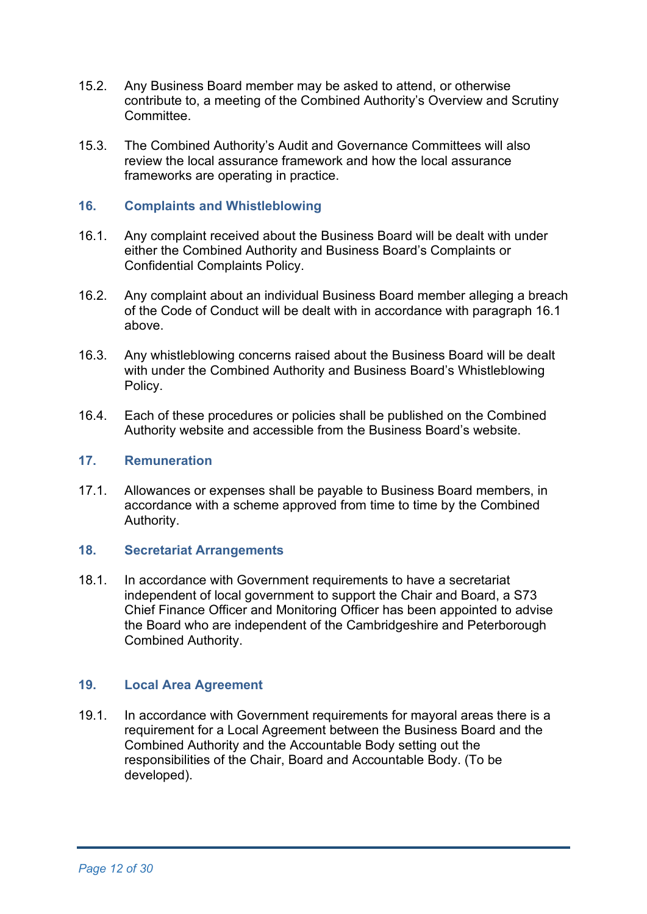- 15.2. Any Business Board member may be asked to attend, or otherwise contribute to, a meeting of the Combined Authority's Overview and Scrutiny **Committee**
- 15.3. The Combined Authority's Audit and Governance Committees will also review the local assurance framework and how the local assurance frameworks are operating in practice.

#### **16. Complaints and Whistleblowing**

- 16.1. Any complaint received about the Business Board will be dealt with under either the Combined Authority and Business Board's Complaints or Confidential Complaints Policy.
- 16.2. Any complaint about an individual Business Board member alleging a breach of the Code of Conduct will be dealt with in accordance with paragraph 16.1 above.
- 16.3. Any whistleblowing concerns raised about the Business Board will be dealt with under the Combined Authority and Business Board's Whistleblowing Policy.
- 16.4. Each of these procedures or policies shall be published on the Combined Authority website and accessible from the Business Board's website.

#### **17. Remuneration**

17.1. Allowances or expenses shall be payable to Business Board members, in accordance with a scheme approved from time to time by the Combined Authority.

#### **18. Secretariat Arrangements**

18.1. In accordance with Government requirements to have a secretariat independent of local government to support the Chair and Board, a S73 Chief Finance Officer and Monitoring Officer has been appointed to advise the Board who are independent of the Cambridgeshire and Peterborough Combined Authority.

### **19. Local Area Agreement**

19.1. In accordance with Government requirements for mayoral areas there is a requirement for a Local Agreement between the Business Board and the Combined Authority and the Accountable Body setting out the responsibilities of the Chair, Board and Accountable Body. (To be developed).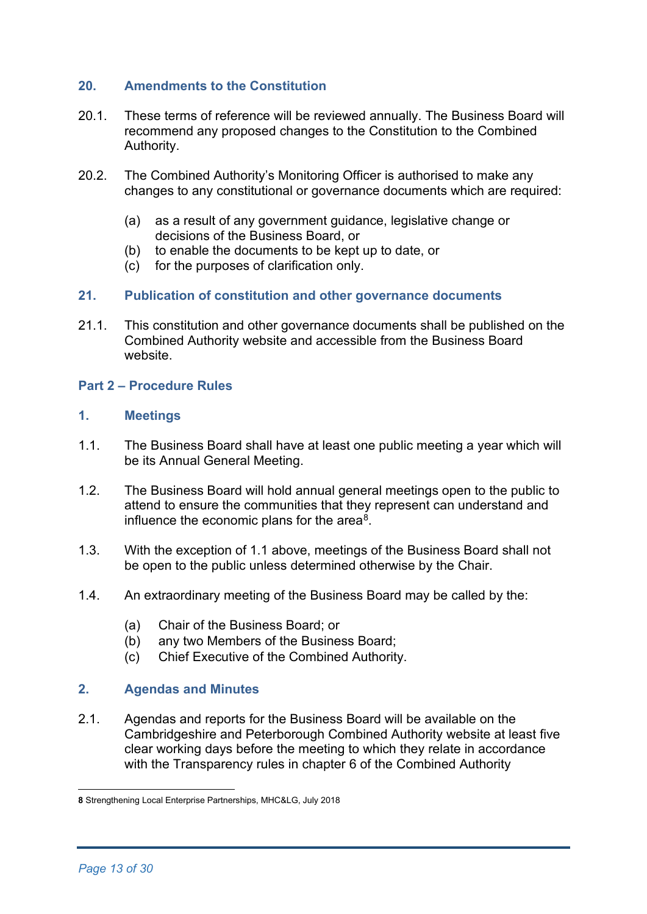### **20. Amendments to the Constitution**

- 20.1. These terms of reference will be reviewed annually. The Business Board will recommend any proposed changes to the Constitution to the Combined Authority.
- 20.2. The Combined Authority's Monitoring Officer is authorised to make any changes to any constitutional or governance documents which are required:
	- (a) as a result of any government guidance, legislative change or decisions of the Business Board, or
	- (b) to enable the documents to be kept up to date, or
	- (c) for the purposes of clarification only.

#### **21. Publication of constitution and other governance documents**

21.1. This constitution and other governance documents shall be published on the Combined Authority website and accessible from the Business Board website.

#### **Part 2 – Procedure Rules**

#### **1. Meetings**

- 1.1. The Business Board shall have at least one public meeting a year which will be its Annual General Meeting.
- 1.2. The Business Board will hold annual general meetings open to the public to attend to ensure the communities that they represent can understand and influence the economic plans for the area $\delta$ .
- 1.3. With the exception of 1.1 above, meetings of the Business Board shall not be open to the public unless determined otherwise by the Chair.
- 1.4. An extraordinary meeting of the Business Board may be called by the:
	- (a) Chair of the Business Board; or
	- (b) any two Members of the Business Board;
	- (c) Chief Executive of the Combined Authority.

#### **2. Agendas and Minutes**

2.1. Agendas and reports for the Business Board will be available on the Cambridgeshire and Peterborough Combined Authority website at least five clear working days before the meeting to which they relate in accordance with the Transparency rules in [chapter 6](https://cambridgeshirepeterborough.sharepoint.com/sites/CPCATeamSite/Shared%20Documents/Governance/Constitution%20and%20protocols/Previous%20reviews/Review%20March%202018/Constitution%20%20260318.docx#_Chapter_6_%E2%80%93) of the Combined Authority

<span id="page-12-0"></span>**<sup>8</sup>** Strengthening Local Enterprise Partnerships, MHC&LG, July 2018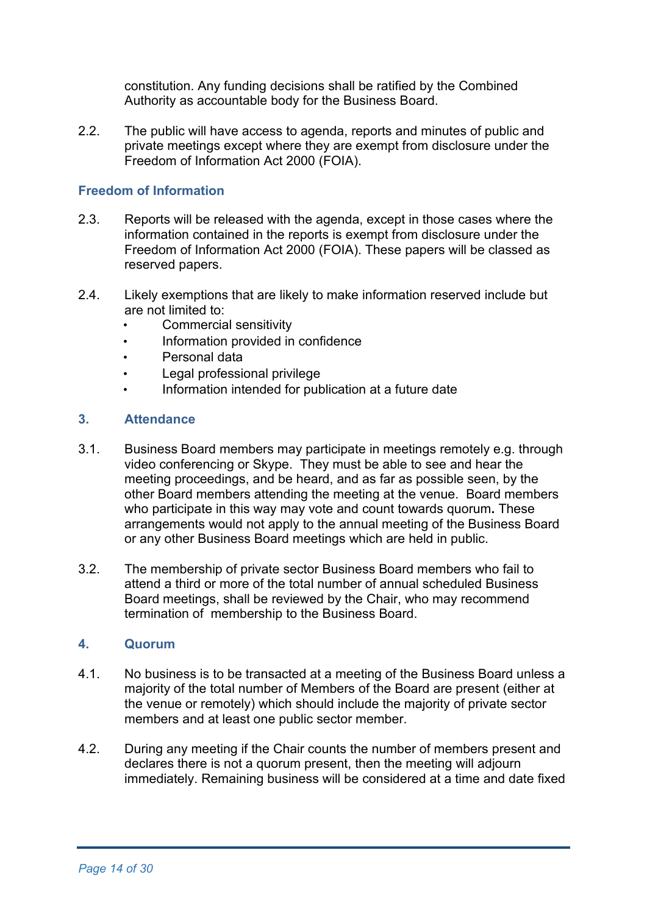constitution. Any funding decisions shall be ratified by the Combined Authority as accountable body for the Business Board.

2.2. The public will have access to agenda, reports and minutes of public and private meetings except where they are exempt from disclosure under the Freedom of Information Act 2000 (FOIA).

### **Freedom of Information**

- 2.3. Reports will be released with the agenda, except in those cases where the information contained in the reports is exempt from disclosure under the Freedom of Information Act 2000 (FOIA). These papers will be classed as reserved papers.
- 2.4. Likely exemptions that are likely to make information reserved include but are not limited to:
	- Commercial sensitivity
	- Information provided in confidence
	- Personal data
	- Legal professional privilege
	- Information intended for publication at a future date

### **3. Attendance**

- 3.1. Business Board members may participate in meetings remotely e.g. through video conferencing or Skype. They must be able to see and hear the meeting proceedings, and be heard, and as far as possible seen, by the other Board members attending the meeting at the venue. Board members who participate in this way may vote and count towards quorum**.** These arrangements would not apply to the annual meeting of the Business Board or any other Business Board meetings which are held in public.
- 3.2. The membership of private sector Business Board members who fail to attend a third or more of the total number of annual scheduled Business Board meetings, shall be reviewed by the Chair, who may recommend termination of membership to the Business Board.

#### **4. Quorum**

- 4.1. No business is to be transacted at a meeting of the Business Board unless a majority of the total number of Members of the Board are present (either at the venue or remotely) which should include the majority of private sector members and at least one public sector member.
- 4.2. During any meeting if the Chair counts the number of members present and declares there is not a quorum present, then the meeting will adjourn immediately. Remaining business will be considered at a time and date fixed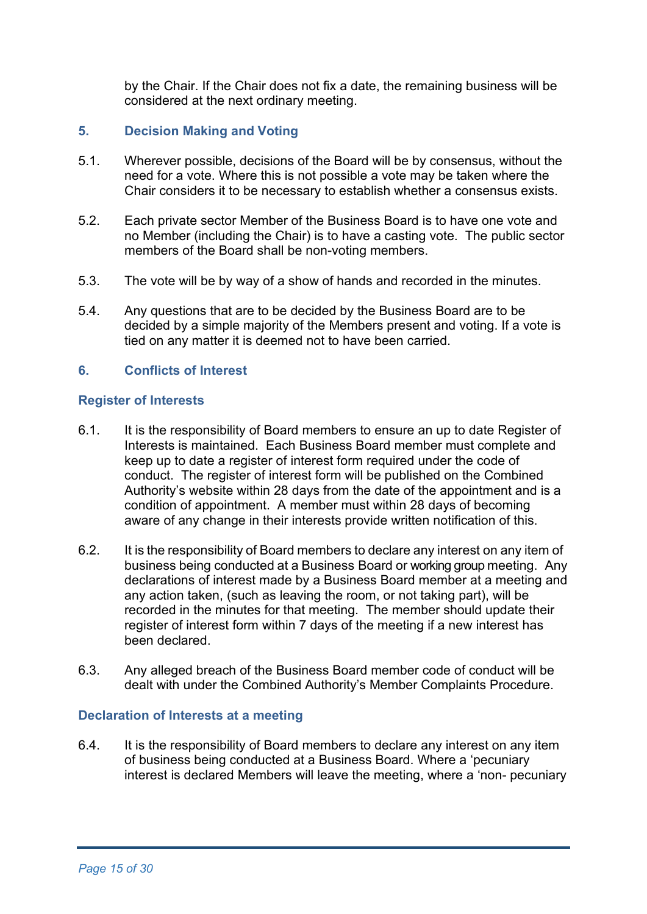by the Chair. If the Chair does not fix a date, the remaining business will be considered at the next ordinary meeting.

### **5. Decision Making and Voting**

- 5.1. Wherever possible, decisions of the Board will be by consensus, without the need for a vote. Where this is not possible a vote may be taken where the Chair considers it to be necessary to establish whether a consensus exists.
- 5.2. Each private sector Member of the Business Board is to have one vote and no Member (including the Chair) is to have a casting vote. The public sector members of the Board shall be non-voting members.
- 5.3. The vote will be by way of a show of hands and recorded in the minutes.
- 5.4. Any questions that are to be decided by the Business Board are to be decided by a simple majority of the Members present and voting. If a vote is tied on any matter it is deemed not to have been carried.

### **6. Conflicts of Interest**

#### **Register of Interests**

- 6.1. It is the responsibility of Board members to ensure an up to date Register of Interests is maintained. Each Business Board member must complete and keep up to date a register of interest form required under the code of conduct. The register of interest form will be published on the Combined Authority's website within 28 days from the date of the appointment and is a condition of appointment. A member must within 28 days of becoming aware of any change in their interests provide written notification of this.
- 6.2. It is the responsibility of Board members to declare any interest on any item of business being conducted at a Business Board or working group meeting. Any declarations of interest made by a Business Board member at a meeting and any action taken, (such as leaving the room, or not taking part), will be recorded in the minutes for that meeting. The member should update their register of interest form within 7 days of the meeting if a new interest has been declared.
- 6.3. Any alleged breach of the Business Board member code of conduct will be dealt with under the Combined Authority's Member Complaints Procedure.

#### **Declaration of Interests at a meeting**

6.4. It is the responsibility of Board members to declare any interest on any item of business being conducted at a Business Board. Where a 'pecuniary interest is declared Members will leave the meeting, where a 'non- pecuniary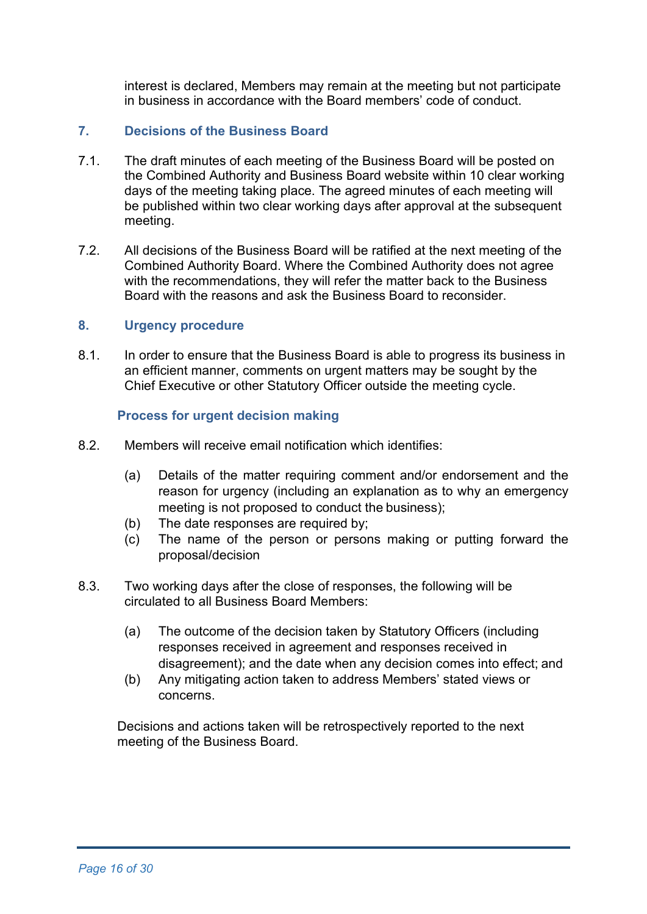interest is declared, Members may remain at the meeting but not participate in business in accordance with the Board members' code of conduct.

### **7. Decisions of the Business Board**

- 7.1. The draft minutes of each meeting of the Business Board will be posted on the Combined Authority and Business Board website within 10 clear working days of the meeting taking place. The agreed minutes of each meeting will be published within two clear working days after approval at the subsequent meeting.
- 7.2. All decisions of the Business Board will be ratified at the next meeting of the Combined Authority Board. Where the Combined Authority does not agree with the recommendations, they will refer the matter back to the Business Board with the reasons and ask the Business Board to reconsider.

#### **8. Urgency procedure**

8.1. In order to ensure that the Business Board is able to progress its business in an efficient manner, comments on urgent matters may be sought by the Chief Executive or other Statutory Officer outside the meeting cycle.

#### **Process for urgent decision making**

- 8.2. Members will receive email notification which identifies:
	- (a) Details of the matter requiring comment and/or endorsement and the reason for urgency (including an explanation as to why an emergency meeting is not proposed to conduct the business);
	- (b) The date responses are required by;
	- (c) The name of the person or persons making or putting forward the proposal/decision
- 8.3. Two working days after the close of responses, the following will be circulated to all Business Board Members:
	- (a) The outcome of the decision taken by Statutory Officers (including responses received in agreement and responses received in disagreement); and the date when any decision comes into effect; and
	- (b) Any mitigating action taken to address Members' stated views or concerns.

Decisions and actions taken will be retrospectively reported to the next meeting of the Business Board.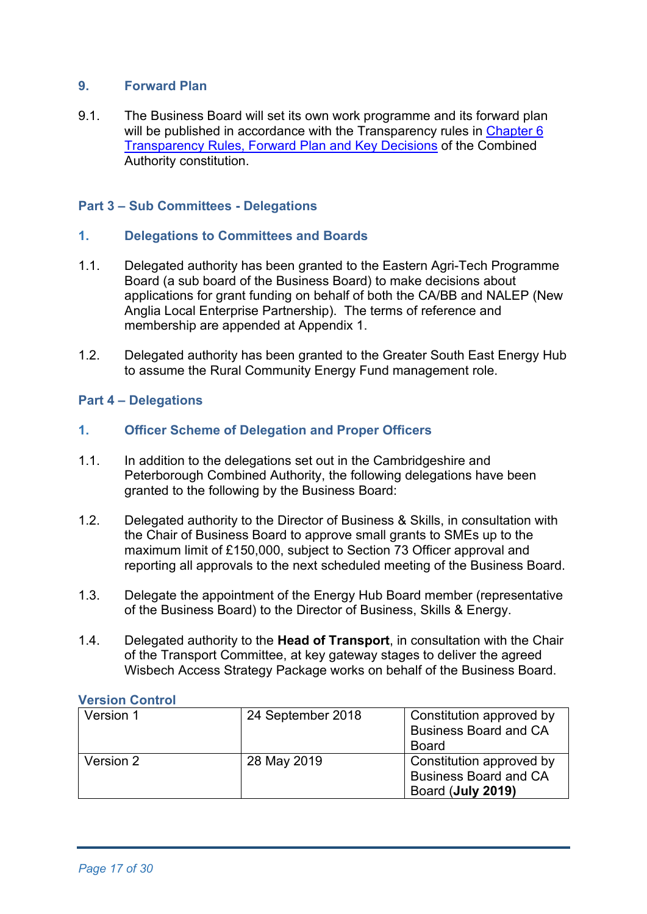### **9. Forward Plan**

9.1. The Business Board will set its own work programme and its forward plan will be published in accordance with the Transparency rules in Chapter 6 [Transparency Rules, Forward Plan and Key Decisions](https://cambridgeshirepeterborough-ca.gov.uk/assets/Transparency/Constitution-28-05-2020-on-website.pdf) of the Combined Authority constitution.

### **Part 3 – Sub Committees - Delegations**

### **1. Delegations to Committees and Boards**

- 1.1. Delegated authority has been granted to the Eastern Agri-Tech Programme Board (a sub board of the Business Board) to make decisions about applications for grant funding on behalf of both the CA/BB and NALEP (New Anglia Local Enterprise Partnership). The terms of reference and membership are appended at Appendix 1.
- 1.2. Delegated authority has been granted to the Greater South East Energy Hub to assume the Rural Community Energy Fund management role.

### **Part 4 – Delegations**

#### **1. Officer Scheme of Delegation and Proper Officers**

- 1.1. In addition to the delegations set out in the Cambridgeshire and Peterborough Combined Authority, the following delegations have been granted to the following by the Business Board:
- 1.2. Delegated authority to the Director of Business & Skills, in consultation with the Chair of Business Board to approve small grants to SMEs up to the maximum limit of £150,000, subject to Section 73 Officer approval and reporting all approvals to the next scheduled meeting of the Business Board.
- 1.3. Delegate the appointment of the Energy Hub Board member (representative of the Business Board) to the Director of Business, Skills & Energy.
- 1.4. Delegated authority to the **Head of Transport**, in consultation with the Chair of the Transport Committee, at key gateway stages to deliver the agreed Wisbech Access Strategy Package works on behalf of the Business Board.

#### **Version Control**

| Version 1 | 24 September 2018 | Constitution approved by<br><b>Business Board and CA</b><br>Board             |
|-----------|-------------------|-------------------------------------------------------------------------------|
| Version 2 | 28 May 2019       | Constitution approved by<br><b>Business Board and CA</b><br>Board (July 2019) |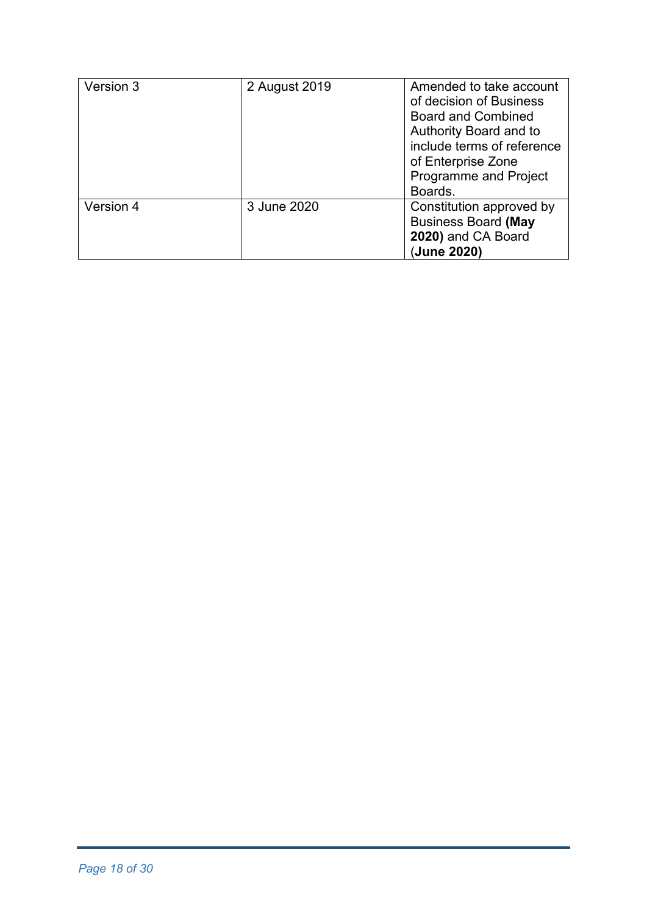| Version 3 | 2 August 2019 | Amended to take account<br>of decision of Business<br><b>Board and Combined</b><br>Authority Board and to<br>include terms of reference<br>of Enterprise Zone<br><b>Programme and Project</b><br>Boards. |
|-----------|---------------|----------------------------------------------------------------------------------------------------------------------------------------------------------------------------------------------------------|
| Version 4 | 3 June 2020   | Constitution approved by<br><b>Business Board (May</b><br>2020) and CA Board<br>(June 2020)                                                                                                              |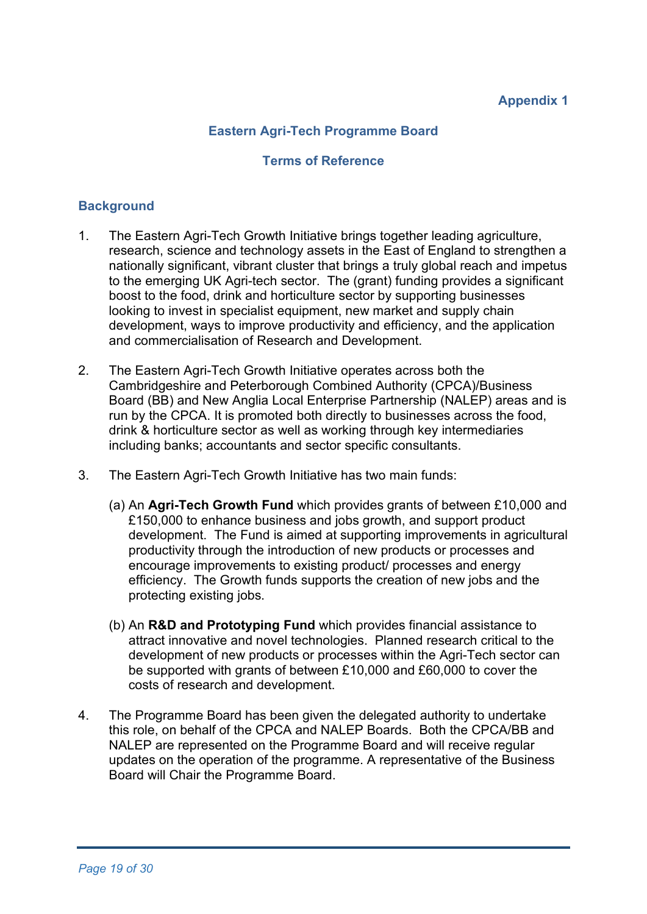# **Appendix 1**

# **Eastern Agri-Tech Programme Board**

#### **Terms of Reference**

### **Background**

- 1. The Eastern Agri-Tech Growth Initiative brings together leading agriculture, research, science and technology assets in the East of England to strengthen a nationally significant, vibrant cluster that brings a truly global reach and impetus to the emerging UK Agri-tech sector. The (grant) funding provides a significant boost to the food, drink and horticulture sector by supporting businesses looking to invest in specialist equipment, new market and supply chain development, ways to improve productivity and efficiency, and the application and commercialisation of Research and Development.
- 2. The Eastern Agri-Tech Growth Initiative operates across both the Cambridgeshire and Peterborough Combined Authority (CPCA)/Business Board (BB) and New Anglia Local Enterprise Partnership (NALEP) areas and is run by the CPCA. It is promoted both directly to businesses across the food, drink & horticulture sector as well as working through key intermediaries including banks; accountants and sector specific consultants.
- 3. The Eastern Agri-Tech Growth Initiative has two main funds:
	- (a) An **Agri-Tech Growth Fund** which provides grants of between £10,000 and £150,000 to enhance business and jobs growth, and support product development. The Fund is aimed at supporting improvements in agricultural productivity through the introduction of new products or processes and encourage improvements to existing product/ processes and energy efficiency. The Growth funds supports the creation of new jobs and the protecting existing jobs.
	- (b) An **R&D and Prototyping Fund** which provides financial assistance to attract innovative and novel technologies. Planned research critical to the development of new products or processes within the Agri-Tech sector can be supported with grants of between £10,000 and £60,000 to cover the costs of research and development.
- 4. The Programme Board has been given the delegated authority to undertake this role, on behalf of the CPCA and NALEP Boards. Both the CPCA/BB and NALEP are represented on the Programme Board and will receive regular updates on the operation of the programme. A representative of the Business Board will Chair the Programme Board.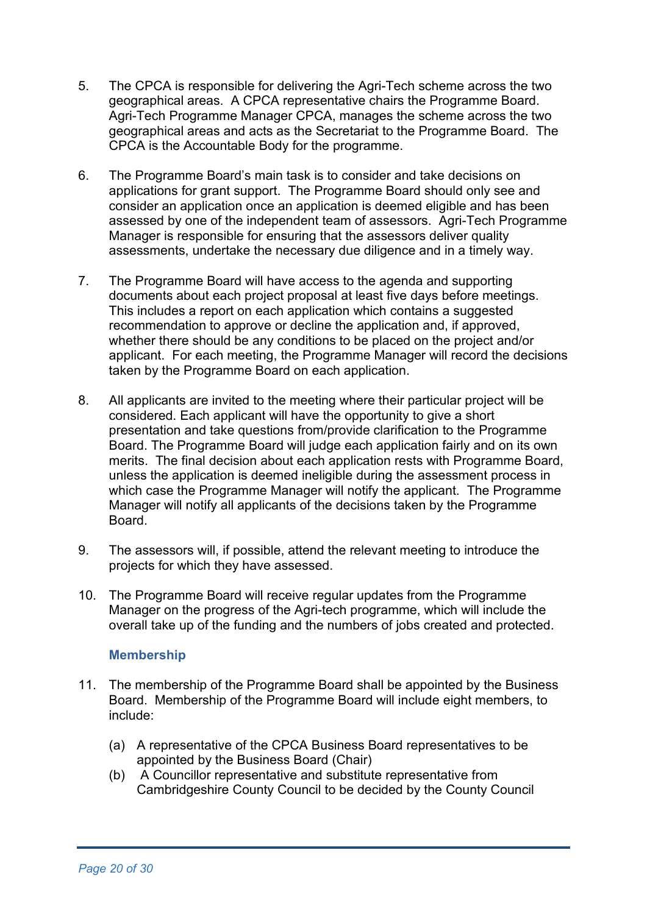- 5. The CPCA is responsible for delivering the Agri-Tech scheme across the two geographical areas. A CPCA representative chairs the Programme Board. Agri-Tech Programme Manager CPCA, manages the scheme across the two geographical areas and acts as the Secretariat to the Programme Board. The CPCA is the Accountable Body for the programme.
- 6. The Programme Board's main task is to consider and take decisions on applications for grant support. The Programme Board should only see and consider an application once an application is deemed eligible and has been assessed by one of the independent team of assessors. Agri-Tech Programme Manager is responsible for ensuring that the assessors deliver quality assessments, undertake the necessary due diligence and in a timely way.
- 7. The Programme Board will have access to the agenda and supporting documents about each project proposal at least five days before meetings. This includes a report on each application which contains a suggested recommendation to approve or decline the application and, if approved, whether there should be any conditions to be placed on the project and/or applicant. For each meeting, the Programme Manager will record the decisions taken by the Programme Board on each application.
- 8. All applicants are invited to the meeting where their particular project will be considered. Each applicant will have the opportunity to give a short presentation and take questions from/provide clarification to the Programme Board. The Programme Board will judge each application fairly and on its own merits. The final decision about each application rests with Programme Board, unless the application is deemed ineligible during the assessment process in which case the Programme Manager will notify the applicant. The Programme Manager will notify all applicants of the decisions taken by the Programme Board.
- 9. The assessors will, if possible, attend the relevant meeting to introduce the projects for which they have assessed.
- 10. The Programme Board will receive regular updates from the Programme Manager on the progress of the Agri-tech programme, which will include the overall take up of the funding and the numbers of jobs created and protected.

#### **Membership**

- 11. The membership of the Programme Board shall be appointed by the Business Board. Membership of the Programme Board will include eight members, to include:
	- (a) A representative of the CPCA Business Board representatives to be appointed by the Business Board (Chair)
	- (b) A Councillor representative and substitute representative from Cambridgeshire County Council to be decided by the County Council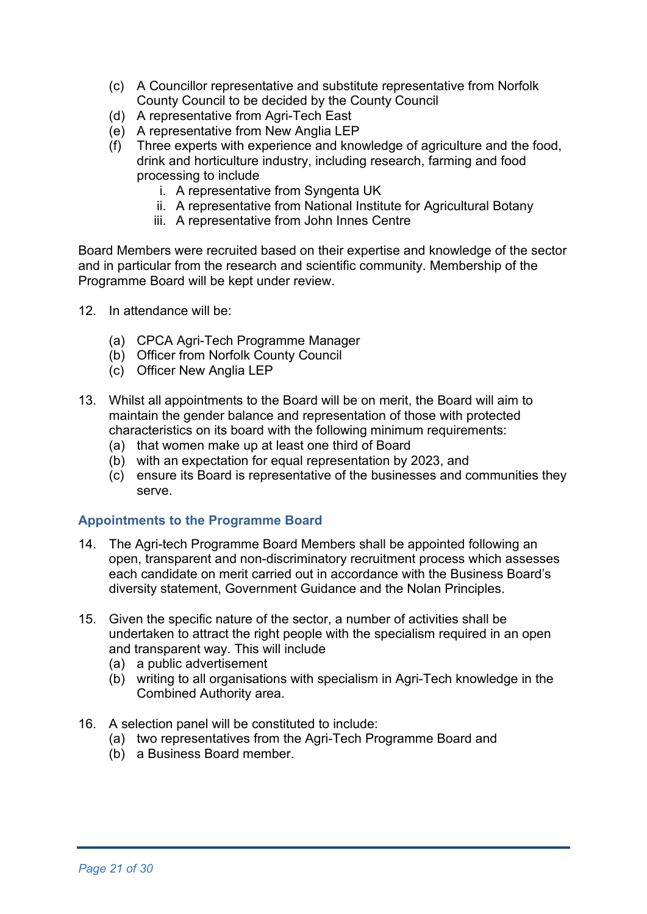- (c) A Councillor representative and substitute representative from Norfolk County Council to be decided by the County Council
- (d) A representative from Agri-Tech East
- (e) A representative from New Anglia LEP
- (f) Three experts with experience and knowledge of agriculture and the food, drink and horticulture industry, including research, farming and food processing to include
	- i. A representative from Syngenta UK
	- ii. A representative from National Institute for Agricultural Botany
	- iii. A representative from John Innes Centre

Board Members were recruited based on their expertise and knowledge of the sector and in particular from the research and scientific community. Membership of the Programme Board will be kept under review.

- 12. In attendance will be:
	- (a) CPCA Agri-Tech Programme Manager
	- (b) Officer from Norfolk County Council
	- (c) Officer New Anglia LEP
- 13. Whilst all appointments to the Board will be on merit, the Board will aim to maintain the gender balance and representation of those with protected characteristics on its board with the following minimum requirements:
	- (a) that women make up at least one third of Board
	- (b) with an expectation for equal representation by 2023, and
	- (c) ensure its Board is representative of the businesses and communities they serve.

#### **Appointments to the Programme Board**

- 14. The Agri-tech Programme Board Members shall be appointed following an open, transparent and non-discriminatory recruitment process which assesses each candidate on merit carried out in accordance with the Business Board's diversity statement, Government Guidance and the Nolan Principles.
- 15. Given the specific nature of the sector, a number of activities shall be undertaken to attract the right people with the specialism required in an open and transparent way. This will include
	- (a) a public advertisement
	- (b) writing to all organisations with specialism in Agri-Tech knowledge in the Combined Authority area.
- 16. A selection panel will be constituted to include:
	- (a) two representatives from the Agri-Tech Programme Board and
	- (b) a Business Board member.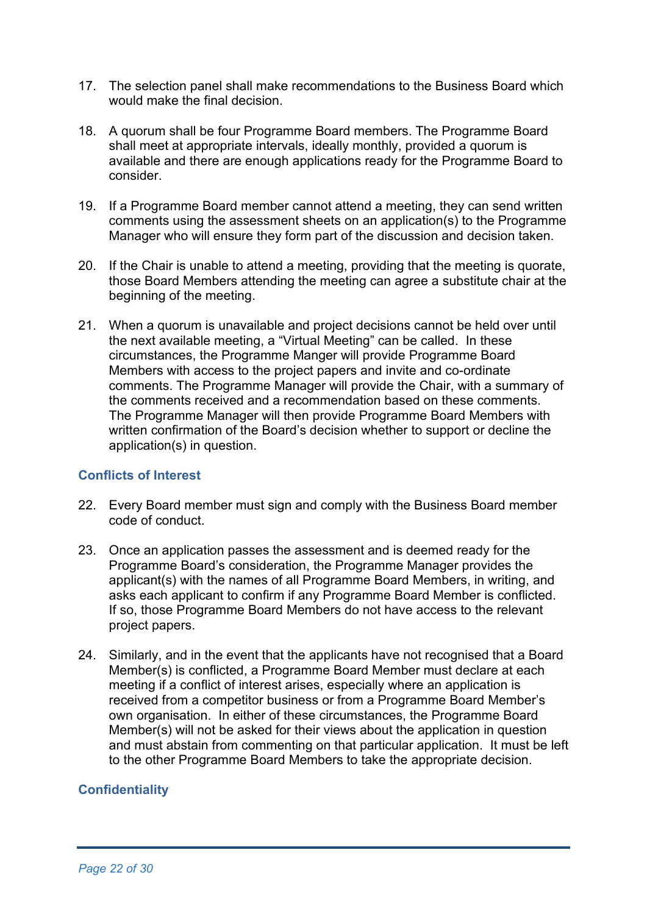- 17. The selection panel shall make recommendations to the Business Board which would make the final decision.
- 18. A quorum shall be four Programme Board members. The Programme Board shall meet at appropriate intervals, ideally monthly, provided a quorum is available and there are enough applications ready for the Programme Board to consider.
- 19. If a Programme Board member cannot attend a meeting, they can send written comments using the assessment sheets on an application(s) to the Programme Manager who will ensure they form part of the discussion and decision taken.
- 20. If the Chair is unable to attend a meeting, providing that the meeting is quorate, those Board Members attending the meeting can agree a substitute chair at the beginning of the meeting.
- 21. When a quorum is unavailable and project decisions cannot be held over until the next available meeting, a "Virtual Meeting" can be called. In these circumstances, the Programme Manger will provide Programme Board Members with access to the project papers and invite and co-ordinate comments. The Programme Manager will provide the Chair, with a summary of the comments received and a recommendation based on these comments. The Programme Manager will then provide Programme Board Members with written confirmation of the Board's decision whether to support or decline the application(s) in question.

#### **Conflicts of Interest**

- 22. Every Board member must sign and comply with the Business Board member code of conduct.
- 23. Once an application passes the assessment and is deemed ready for the Programme Board's consideration, the Programme Manager provides the applicant(s) with the names of all Programme Board Members, in writing, and asks each applicant to confirm if any Programme Board Member is conflicted. If so, those Programme Board Members do not have access to the relevant project papers.
- 24. Similarly, and in the event that the applicants have not recognised that a Board Member(s) is conflicted, a Programme Board Member must declare at each meeting if a conflict of interest arises, especially where an application is received from a competitor business or from a Programme Board Member's own organisation. In either of these circumstances, the Programme Board Member(s) will not be asked for their views about the application in question and must abstain from commenting on that particular application. It must be left to the other Programme Board Members to take the appropriate decision.

# **Confidentiality**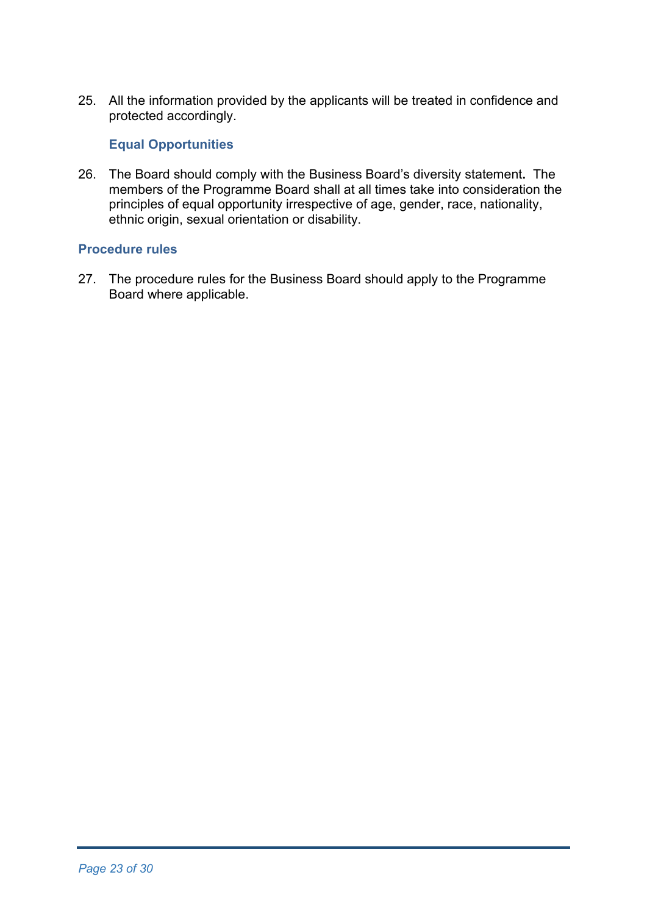25. All the information provided by the applicants will be treated in confidence and protected accordingly.

# **Equal Opportunities**

26. The Board should comply with the Business Board's diversity statement**.** The members of the Programme Board shall at all times take into consideration the principles of equal opportunity irrespective of age, gender, race, nationality, ethnic origin, sexual orientation or disability.

### **Procedure rules**

27. The procedure rules for the Business Board should apply to the Programme Board where applicable.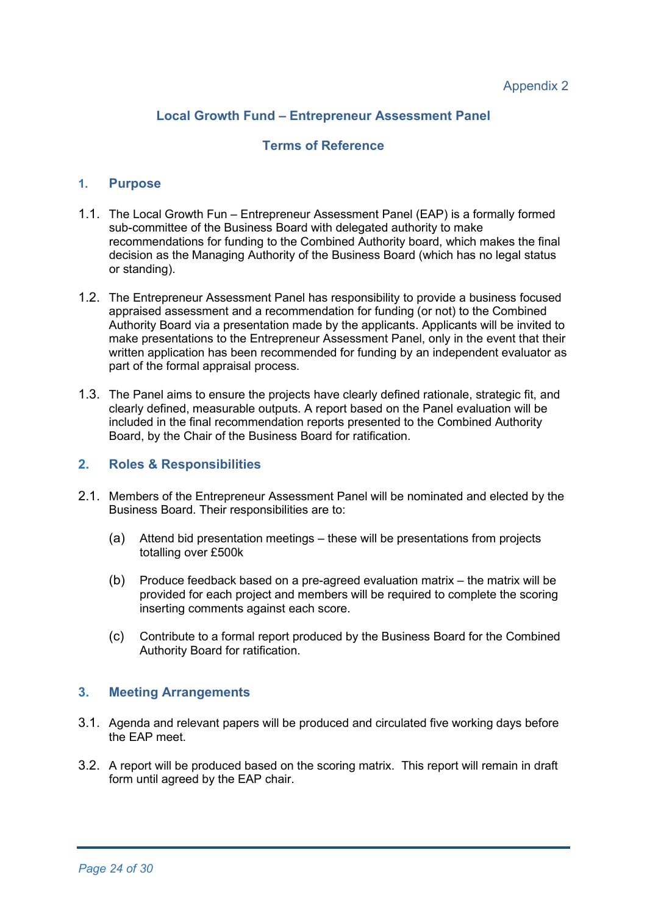#### **Local Growth Fund – Entrepreneur Assessment Panel**

#### **Terms of Reference**

#### **1. Purpose**

- 1.1. The Local Growth Fun Entrepreneur Assessment Panel (EAP) is a formally formed sub-committee of the Business Board with delegated authority to make recommendations for funding to the Combined Authority board, which makes the final decision as the Managing Authority of the Business Board (which has no legal status or standing).
- 1.2. The Entrepreneur Assessment Panel has responsibility to provide a business focused appraised assessment and a recommendation for funding (or not) to the Combined Authority Board via a presentation made by the applicants. Applicants will be invited to make presentations to the Entrepreneur Assessment Panel, only in the event that their written application has been recommended for funding by an independent evaluator as part of the formal appraisal process.
- 1.3. The Panel aims to ensure the projects have clearly defined rationale, strategic fit, and clearly defined, measurable outputs. A report based on the Panel evaluation will be included in the final recommendation reports presented to the Combined Authority Board, by the Chair of the Business Board for ratification.

#### **2. Roles & Responsibilities**

- 2.1. Members of the Entrepreneur Assessment Panel will be nominated and elected by the Business Board. Their responsibilities are to:
	- (a) Attend bid presentation meetings these will be presentations from projects totalling over £500k
	- (b) Produce feedback based on a pre-agreed evaluation matrix the matrix will be provided for each project and members will be required to complete the scoring inserting comments against each score.
	- (c) Contribute to a formal report produced by the Business Board for the Combined Authority Board for ratification.

#### **3. Meeting Arrangements**

- 3.1. Agenda and relevant papers will be produced and circulated five working days before the EAP meet.
- 3.2. A report will be produced based on the scoring matrix. This report will remain in draft form until agreed by the EAP chair.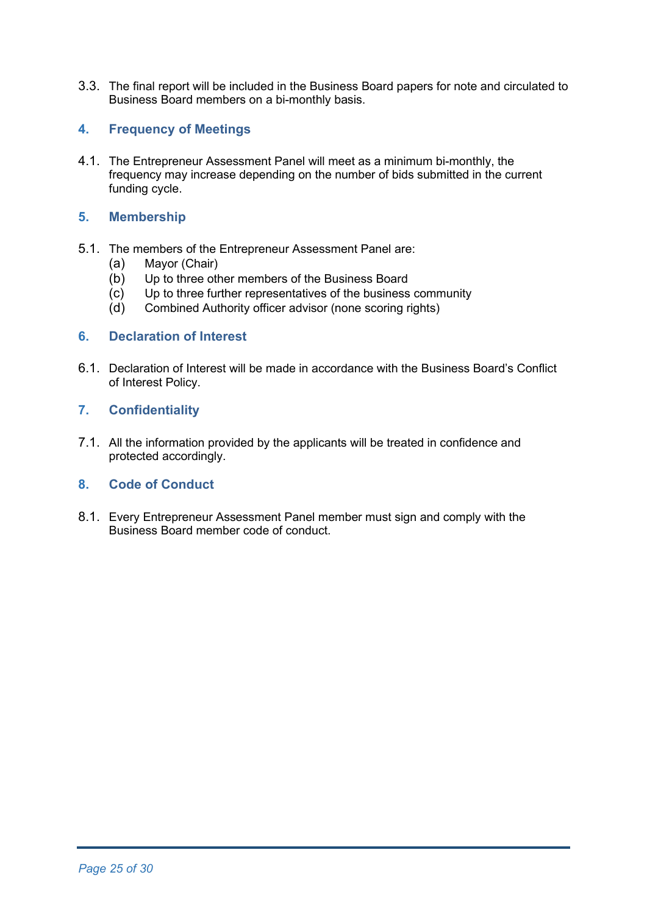3.3. The final report will be included in the Business Board papers for note and circulated to Business Board members on a bi-monthly basis.

#### **4. Frequency of Meetings**

4.1. The Entrepreneur Assessment Panel will meet as a minimum bi-monthly, the frequency may increase depending on the number of bids submitted in the current funding cycle.

### **5. Membership**

- 5.1. The members of the Entrepreneur Assessment Panel are:
	- (a) Mayor (Chair)
	- (b) Up to three other members of the Business Board
	- (c) Up to three further representatives of the business community
	- (d) Combined Authority officer advisor (none scoring rights)

#### **6. Declaration of Interest**

6.1. Declaration of Interest will be made in accordance with the Business Board's Conflict of Interest Policy.

### **7. Confidentiality**

7.1. All the information provided by the applicants will be treated in confidence and protected accordingly.

#### **8. Code of Conduct**

8.1. Every Entrepreneur Assessment Panel member must sign and comply with the Business Board member code of conduct.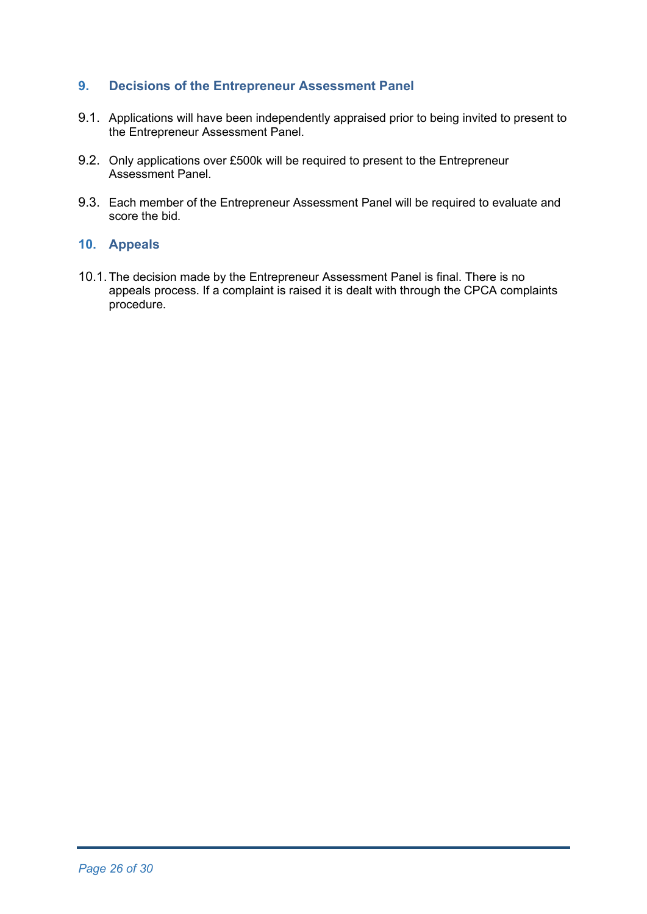# **9. Decisions of the Entrepreneur Assessment Panel**

- 9.1. Applications will have been independently appraised prior to being invited to present to the Entrepreneur Assessment Panel.
- 9.2. Only applications over £500k will be required to present to the Entrepreneur Assessment Panel.
- 9.3. Each member of the Entrepreneur Assessment Panel will be required to evaluate and score the bid.

#### **10. Appeals**

10.1.The decision made by the Entrepreneur Assessment Panel is final. There is no appeals process. If a complaint is raised it is dealt with through the CPCA complaints procedure.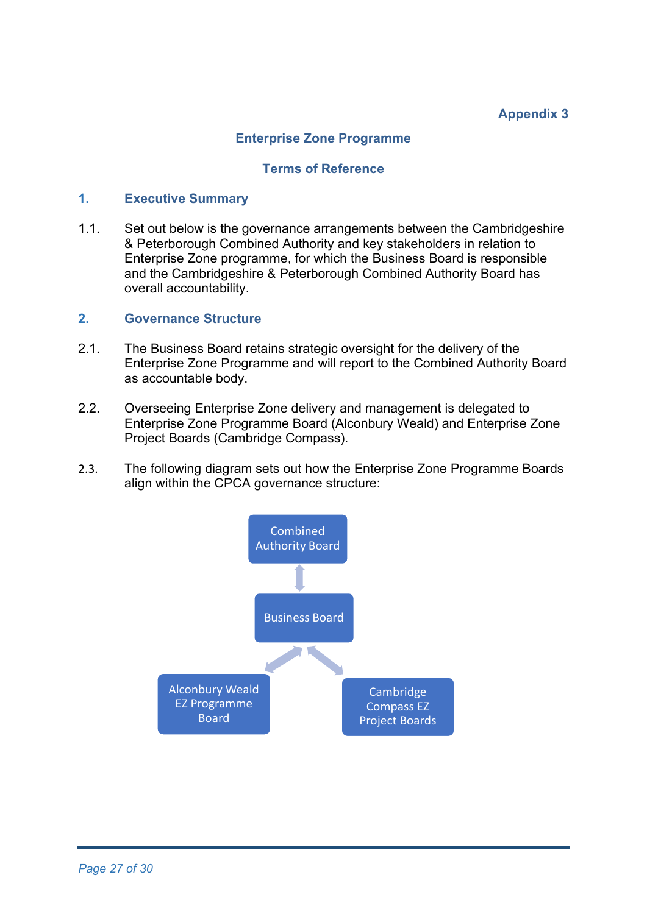# **Appendix 3**

### **Enterprise Zone Programme**

#### **Terms of Reference**

#### **1. Executive Summary**

1.1. Set out below is the governance arrangements between the Cambridgeshire & Peterborough Combined Authority and key stakeholders in relation to Enterprise Zone programme, for which the Business Board is responsible and the Cambridgeshire & Peterborough Combined Authority Board has overall accountability.

#### **2. Governance Structure**

- 2.1. The Business Board retains strategic oversight for the delivery of the Enterprise Zone Programme and will report to the Combined Authority Board as accountable body.
- 2.2. Overseeing Enterprise Zone delivery and management is delegated to Enterprise Zone Programme Board (Alconbury Weald) and Enterprise Zone Project Boards (Cambridge Compass).
- 2.3. The following diagram sets out how the Enterprise Zone Programme Boards align within the CPCA governance structure:

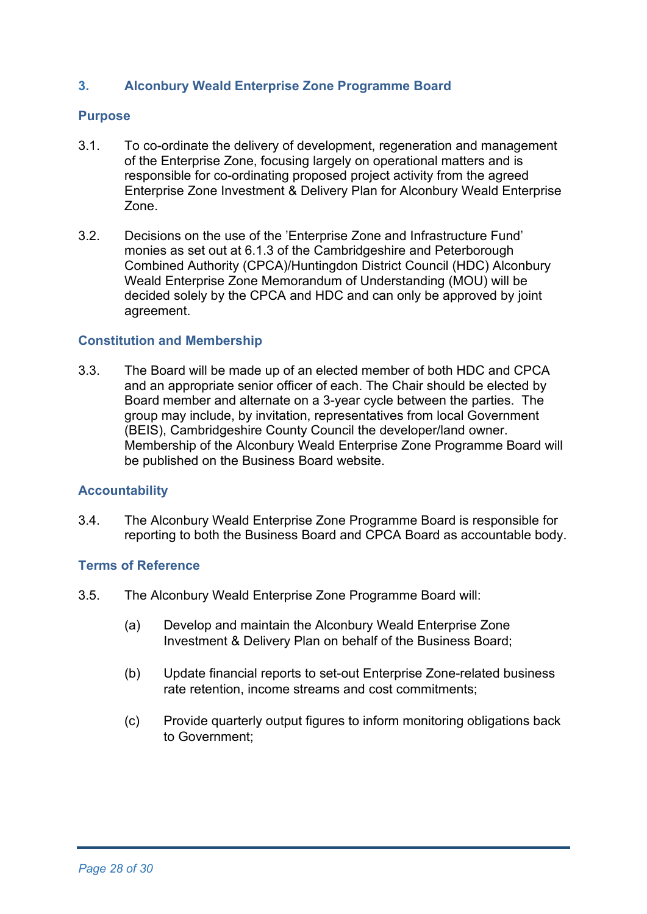### **3. Alconbury Weald Enterprise Zone Programme Board**

### **Purpose**

- 3.1. To co-ordinate the delivery of development, regeneration and management of the Enterprise Zone, focusing largely on operational matters and is responsible for co-ordinating proposed project activity from the agreed Enterprise Zone Investment & Delivery Plan for Alconbury Weald Enterprise Zone.
- 3.2. Decisions on the use of the 'Enterprise Zone and Infrastructure Fund' monies as set out at 6.1.3 of the Cambridgeshire and Peterborough Combined Authority (CPCA)/Huntingdon District Council (HDC) Alconbury Weald Enterprise Zone Memorandum of Understanding (MOU) will be decided solely by the CPCA and HDC and can only be approved by joint agreement.

#### **Constitution and Membership**

3.3. The Board will be made up of an elected member of both HDC and CPCA and an appropriate senior officer of each. The Chair should be elected by Board member and alternate on a 3-year cycle between the parties. The group may include, by invitation, representatives from local Government (BEIS), Cambridgeshire County Council the developer/land owner. Membership of the Alconbury Weald Enterprise Zone Programme Board will be published on the Business Board website.

#### **Accountability**

3.4. The Alconbury Weald Enterprise Zone Programme Board is responsible for reporting to both the Business Board and CPCA Board as accountable body.

### **Terms of Reference**

- 3.5. The Alconbury Weald Enterprise Zone Programme Board will:
	- (a) Develop and maintain the Alconbury Weald Enterprise Zone Investment & Delivery Plan on behalf of the Business Board;
	- (b) Update financial reports to set-out Enterprise Zone-related business rate retention, income streams and cost commitments;
	- (c) Provide quarterly output figures to inform monitoring obligations back to Government;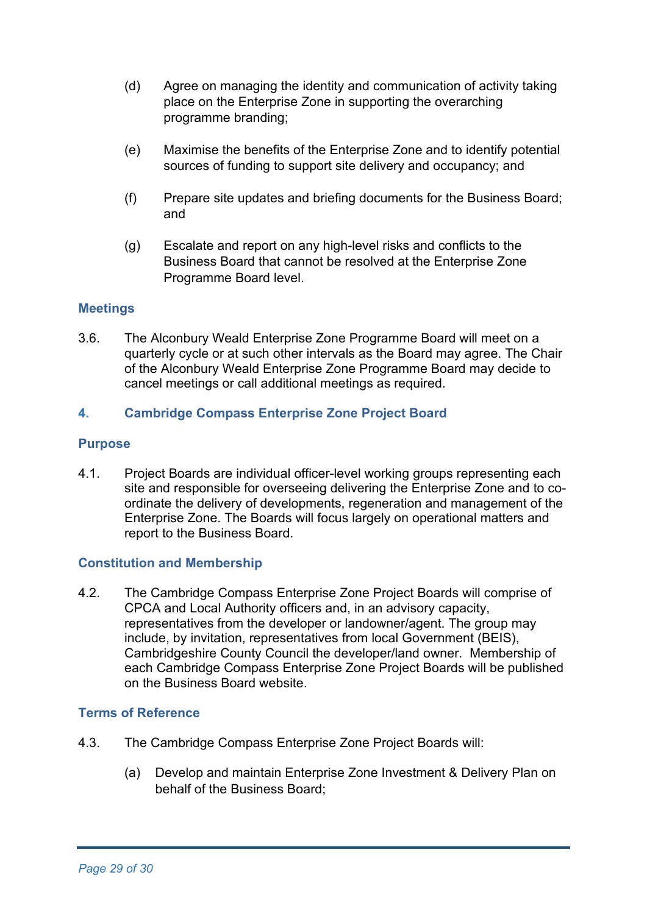- (d) Agree on managing the identity and communication of activity taking place on the Enterprise Zone in supporting the overarching programme branding;
- (e) Maximise the benefits of the Enterprise Zone and to identify potential sources of funding to support site delivery and occupancy; and
- (f) Prepare site updates and briefing documents for the Business Board; and
- (g) Escalate and report on any high-level risks and conflicts to the Business Board that cannot be resolved at the Enterprise Zone Programme Board level.

# **Meetings**

3.6. The Alconbury Weald Enterprise Zone Programme Board will meet on a quarterly cycle or at such other intervals as the Board may agree. The Chair of the Alconbury Weald Enterprise Zone Programme Board may decide to cancel meetings or call additional meetings as required.

# **4. Cambridge Compass Enterprise Zone Project Board**

#### **Purpose**

4.1. Project Boards are individual officer-level working groups representing each site and responsible for overseeing delivering the Enterprise Zone and to coordinate the delivery of developments, regeneration and management of the Enterprise Zone. The Boards will focus largely on operational matters and report to the Business Board.

#### **Constitution and Membership**

4.2. The Cambridge Compass Enterprise Zone Project Boards will comprise of CPCA and Local Authority officers and, in an advisory capacity, representatives from the developer or landowner/agent. The group may include, by invitation, representatives from local Government (BEIS), Cambridgeshire County Council the developer/land owner. Membership of each Cambridge Compass Enterprise Zone Project Boards will be published on the Business Board website.

#### **Terms of Reference**

- 4.3. The Cambridge Compass Enterprise Zone Project Boards will:
	- (a) Develop and maintain Enterprise Zone Investment & Delivery Plan on behalf of the Business Board;